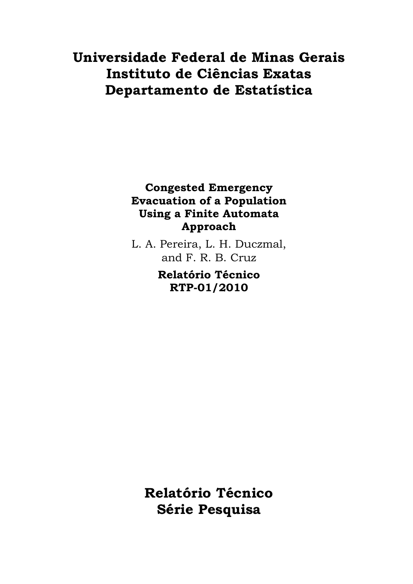# **Universidade Federal de Minas Gerais Instituto de Ciências Exatas Departamento de Estatística**

### **Congested Emergency Evacuation of a Population Using a Finite Automata Approach**

L. A. Pereira, L. H. Duczmal, and F. R. B. Cruz

> **Relatório Técnico RTP-01/2010**

**Relatório Técnico Série Pesquisa**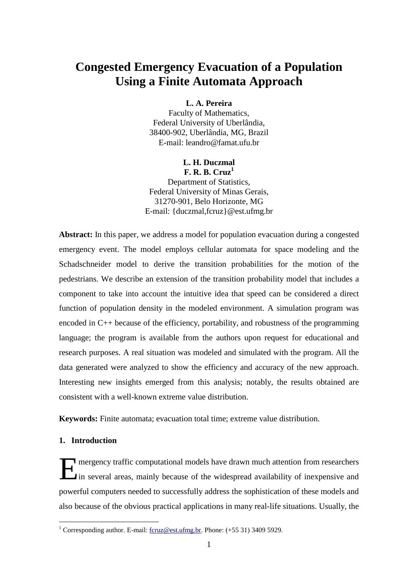## **Congested Emergency Evacuation of a Population Using a Finite Automata Approach**

**L. A. Pereira**

Faculty of Mathematics, Federal University of Uberlândia, 38400-902, Uberlândia, MG, Brazil E-mail: leandro@famat.ufu.br

#### **L. H. Duczmal F. R. B. Cruz<sup>1</sup>**

Department of Statistics, Federal University of Minas Gerais, 31270-901, Belo Horizonte, MG E-mail: {duczmal,fcruz}@est.ufmg.br

**Abstract:** In this paper, we address a model for population evacuation during a congested emergency event. The model employs cellular automata for space modeling and the Schadschneider model to derive the transition probabilities for the motion of the pedestrians. We describe an extension of the transition probability model that includes a component to take into account the intuitive idea that speed can be considered a direct function of population density in the modeled environment. A simulation program was encoded in C++ because of the efficiency, portability, and robustness of the programming language; the program is available from the authors upon request for educational and research purposes. A real situation was modeled and simulated with the program. All the data generated were analyzed to show the efficiency and accuracy of the new approach. Interesting new insights emerged from this analysis; notably, the results obtained are consistent with a well-known extreme value distribution.

**Keywords:** Finite automata; evacuation total time; extreme value distribution.

#### **1. Introduction**

1

mergency traffic computational models have drawn much attention from researchers In several areas, mainly because of the widespread availability of inexpensive and powerful computers needed to successfully address the sophistication of these models and also because of the obvious practical applications in many real-life situations. Usually, the E

<sup>&</sup>lt;sup>1</sup> Corresponding author. E-mail: [fcruz@est.ufmg.br.](mailto:fcruz@est.ufmg.br) Phone:  $(+55\ 31)$  3409 5929.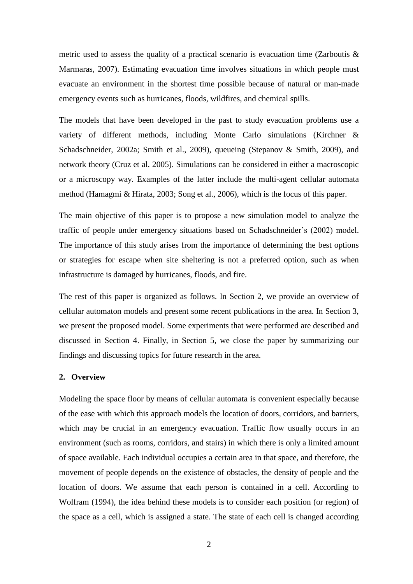metric used to assess the quality of a practical scenario is evacuation time (Zarboutis & Marmaras, 2007). Estimating evacuation time involves situations in which people must evacuate an environment in the shortest time possible because of natural or man-made emergency events such as hurricanes, floods, wildfires, and chemical spills.

The models that have been developed in the past to study evacuation problems use a variety of different methods, including Monte Carlo simulations (Kirchner & Schadschneider, 2002a; Smith et al., 2009), queueing (Stepanov & Smith, 2009), and network theory (Cruz et al. 2005). Simulations can be considered in either a macroscopic or a microscopy way. Examples of the latter include the multi-agent cellular automata method (Hamagmi & Hirata, 2003; Song et al., 2006), which is the focus of this paper.

The main objective of this paper is to propose a new simulation model to analyze the traffic of people under emergency situations based on Schadschneider's (2002) model. The importance of this study arises from the importance of determining the best options or strategies for escape when site sheltering is not a preferred option, such as when infrastructure is damaged by hurricanes, floods, and fire.

The rest of this paper is organized as follows. In Section 2, we provide an overview of cellular automaton models and present some recent publications in the area. In Section 3, we present the proposed model. Some experiments that were performed are described and discussed in Section 4. Finally, in Section 5, we close the paper by summarizing our findings and discussing topics for future research in the area.

#### **2. Overview**

Modeling the space floor by means of cellular automata is convenient especially because of the ease with which this approach models the location of doors, corridors, and barriers, which may be crucial in an emergency evacuation. Traffic flow usually occurs in an environment (such as rooms, corridors, and stairs) in which there is only a limited amount of space available. Each individual occupies a certain area in that space, and therefore, the movement of people depends on the existence of obstacles, the density of people and the location of doors. We assume that each person is contained in a cell. According to Wolfram (1994), the idea behind these models is to consider each position (or region) of the space as a cell, which is assigned a state. The state of each cell is changed according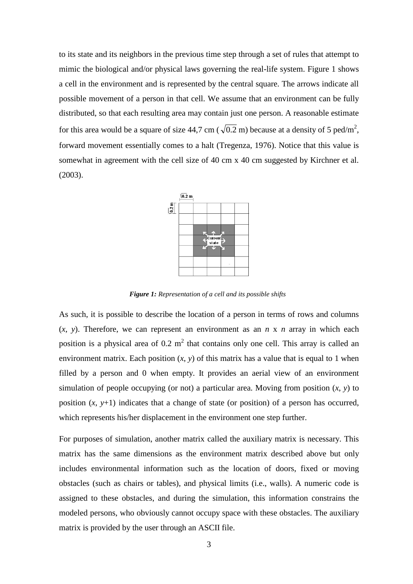to its state and its neighbors in the previous time step through a set of rules that attempt to mimic the biological and/or physical laws governing the real-life system. Figure 1 shows a cell in the environment and is represented by the central square. The arrows indicate all possible movement of a person in that cell. We assume that an environment can be fully distributed, so that each resulting area may contain just one person. A reasonable estimate for this area would be a square of size 44,7 cm ( $\sqrt{0.2}$  m) because at a density of 5 ped/m<sup>2</sup>, forward movement essentially comes to a halt (Tregenza, 1976). Notice that this value is somewhat in agreement with the cell size of 40 cm x 40 cm suggested by Kirchner et al. (2003).



*Figure 1: Representation of a cell and its possible shifts*

As such, it is possible to describe the location of a person in terms of rows and columns (*x*, *y*). Therefore, we can represent an environment as an *n* x *n* array in which each position is a physical area of  $0.2 \text{ m}^2$  that contains only one cell. This array is called an environment matrix. Each position  $(x, y)$  of this matrix has a value that is equal to 1 when filled by a person and 0 when empty. It provides an aerial view of an environment simulation of people occupying (or not) a particular area. Moving from position (*x*, *y*) to position  $(x, y+1)$  indicates that a change of state (or position) of a person has occurred, which represents his/her displacement in the environment one step further.

For purposes of simulation, another matrix called the auxiliary matrix is necessary. This matrix has the same dimensions as the environment matrix described above but only includes environmental information such as the location of doors, fixed or moving obstacles (such as chairs or tables), and physical limits (i.e., walls). A numeric code is assigned to these obstacles, and during the simulation, this information constrains the modeled persons, who obviously cannot occupy space with these obstacles. The auxiliary matrix is provided by the user through an ASCII file.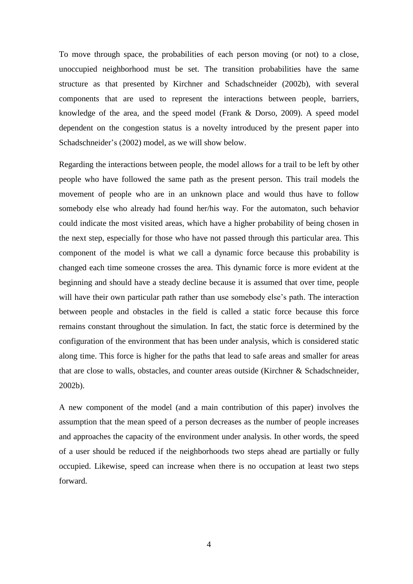To move through space, the probabilities of each person moving (or not) to a close, unoccupied neighborhood must be set. The transition probabilities have the same structure as that presented by Kirchner and Schadschneider (2002b), with several components that are used to represent the interactions between people, barriers, knowledge of the area, and the speed model (Frank & Dorso, 2009). A speed model dependent on the congestion status is a novelty introduced by the present paper into Schadschneider's (2002) model, as we will show below.

Regarding the interactions between people, the model allows for a trail to be left by other people who have followed the same path as the present person. This trail models the movement of people who are in an unknown place and would thus have to follow somebody else who already had found her/his way. For the automaton, such behavior could indicate the most visited areas, which have a higher probability of being chosen in the next step, especially for those who have not passed through this particular area. This component of the model is what we call a dynamic force because this probability is changed each time someone crosses the area. This dynamic force is more evident at the beginning and should have a steady decline because it is assumed that over time, people will have their own particular path rather than use somebody else's path. The interaction between people and obstacles in the field is called a static force because this force remains constant throughout the simulation. In fact, the static force is determined by the configuration of the environment that has been under analysis, which is considered static along time. This force is higher for the paths that lead to safe areas and smaller for areas that are close to walls, obstacles, and counter areas outside (Kirchner & Schadschneider, 2002b).

A new component of the model (and a main contribution of this paper) involves the assumption that the mean speed of a person decreases as the number of people increases and approaches the capacity of the environment under analysis. In other words, the speed of a user should be reduced if the neighborhoods two steps ahead are partially or fully occupied. Likewise, speed can increase when there is no occupation at least two steps forward.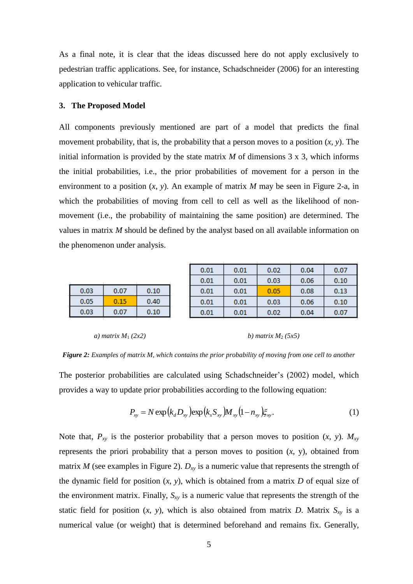As a final note, it is clear that the ideas discussed here do not apply exclusively to pedestrian traffic applications. See, for instance, Schadschneider (2006) for an interesting application to vehicular traffic.

#### **3. The Proposed Model**

All components previously mentioned are part of a model that predicts the final movement probability, that is, the probability that a person moves to a position (*x*, *y*). The initial information is provided by the state matrix  $M$  of dimensions  $3 \times 3$ , which informs the initial probabilities, i.e., the prior probabilities of movement for a person in the environment to a position  $(x, y)$ . An example of matrix *M* may be seen in Figure 2-a, in which the probabilities of moving from cell to cell as well as the likelihood of nonmovement (i.e., the probability of maintaining the same position) are determined. The values in matrix *M* should be defined by the analyst based on all available information on the phenomenon under analysis.

|      |      |      | 0.01 | 0.01 | 0.02 | 0.04 | 0.07 |
|------|------|------|------|------|------|------|------|
|      |      |      | 0.01 | 0.01 | 0.03 | 0.06 | 0.10 |
| 0.03 | 0.07 | 0.10 | 0.01 | 0.01 | 0.05 | 0.08 | 0.13 |
| 0.05 | 0.15 | 0.40 | 0.01 | 0.01 | 0.03 | 0.06 | 0.10 |
| 0.03 | 0.07 | 0.10 | 0.01 | 0.01 | 0.02 | 0.04 | 0.07 |
|      |      |      |      |      |      |      |      |

```
a) matrix M1 (2x2) b) matrix M2 (5x5)
```
*Figure 2: Examples of matrix M, which contains the prior probability of moving from one cell to another*

The posterior probabilities are calculated using Schadschneider's (2002) model, which provides a way to update prior probabilities according to the following equation:

$$
P_{xy} = N \exp(k_d D_{xy}) \exp(k_s S_{xy}) M_{xy} (1 - n_{xy}) \xi_{xy}.
$$
 (1)

Note that,  $P_{xy}$  is the posterior probability that a person moves to position  $(x, y)$ .  $M_{xy}$ represents the priori probability that a person moves to position  $(x, y)$ , obtained from matrix *M* (see examples in Figure 2).  $D_{xy}$  is a numeric value that represents the strength of the dynamic field for position  $(x, y)$ , which is obtained from a matrix  $D$  of equal size of the environment matrix. Finally, *Sxy* is a numeric value that represents the strength of the static field for position  $(x, y)$ , which is also obtained from matrix *D*. Matrix  $S_{xy}$  is a numerical value (or weight) that is determined beforehand and remains fix. Generally,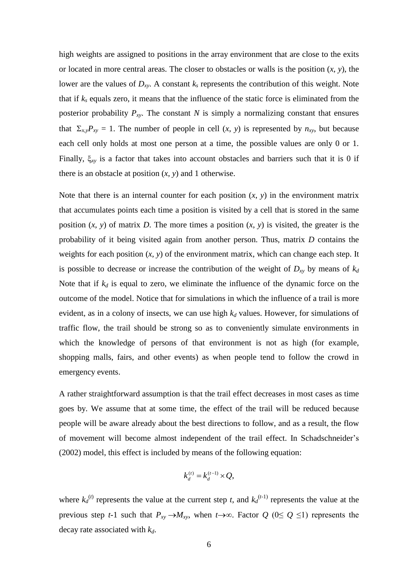high weights are assigned to positions in the array environment that are close to the exits or located in more central areas. The closer to obstacles or walls is the position (*x*, *y*), the lower are the values of  $D_{xy}$ . A constant  $k_s$  represents the contribution of this weight. Note that if  $k_s$  equals zero, it means that the influence of the static force is eliminated from the posterior probability  $P_{xy}$ . The constant *N* is simply a normalizing constant that ensures that  $\Sigma_{x,y}P_{xy} = 1$ . The number of people in cell  $(x, y)$  is represented by  $n_{xy}$ , but because each cell only holds at most one person at a time, the possible values are only 0 or 1. Finally,  $\xi_{xy}$  is a factor that takes into account obstacles and barriers such that it is 0 if there is an obstacle at position  $(x, y)$  and 1 otherwise.

Note that there is an internal counter for each position  $(x, y)$  in the environment matrix that accumulates points each time a position is visited by a cell that is stored in the same position  $(x, y)$  of matrix *D*. The more times a position  $(x, y)$  is visited, the greater is the probability of it being visited again from another person. Thus, matrix *D* contains the weights for each position  $(x, y)$  of the environment matrix, which can change each step. It is possible to decrease or increase the contribution of the weight of  $D_{xy}$  by means of  $k_d$ Note that if  $k_d$  is equal to zero, we eliminate the influence of the dynamic force on the outcome of the model. Notice that for simulations in which the influence of a trail is more evident, as in a colony of insects, we can use high *k<sup>d</sup>* values. However, for simulations of traffic flow, the trail should be strong so as to conveniently simulate environments in which the knowledge of persons of that environment is not as high (for example, shopping malls, fairs, and other events) as when people tend to follow the crowd in emergency events.

A rather straightforward assumption is that the trail effect decreases in most cases as time goes by. We assume that at some time, the effect of the trail will be reduced because people will be aware already about the best directions to follow, and as a result, the flow of movement will become almost independent of the trail effect. In Schadschneider's (2002) model, this effect is included by means of the following equation:

$$
k_d^{(t)}=k_d^{(t-1)}\times Q,
$$

where  $k_d$ <sup>(*t*)</sup> represents the value at the current step *t*, and  $k_d$ <sup>(*t*-1)</sup> represents the value at the previous step *t*-1 such that  $P_{xy} \rightarrow M_{xy}$ , when  $t \rightarrow \infty$ . Factor  $Q$  (0≤  $Q \le 1$ ) represents the decay rate associated with *kd*.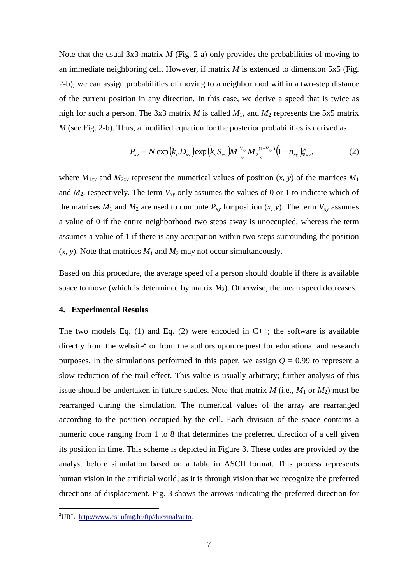Note that the usual 3x3 matrix *M* (Fig. 2-a) only provides the probabilities of moving to an immediate neighboring cell. However, if matrix *M* is extended to dimension 5x5 (Fig. 2-b), we can assign probabilities of moving to a neighborhood within a two-step distance of the current position in any direction. In this case, we derive a speed that is twice as high for such a person. The 3x3 matrix *M* is called  $M_1$ , and  $M_2$  represents the 5x5 matrix *M* (see Fig. 2-b). Thus, a modified equation for the posterior probabilities is derived as:

$$
P_{xy} = N \exp(k_d D_{xy}) \exp(k_s S_{xy}) M_{1_{xy}}^{V_{xy}} M_2^{(1-V_{xy})} (1 - n_{xy}) \xi_{xy},
$$
 (2)

where  $M_{1xy}$  and  $M_{2xy}$  represent the numerical values of position  $(x, y)$  of the matrices  $M_1$ and *M*2, respectively. The term *Vxy* only assumes the values of 0 or 1 to indicate which of the matrixes  $M_1$  and  $M_2$  are used to compute  $P_{xy}$  for position  $(x, y)$ . The term  $V_{xy}$  assumes a value of 0 if the entire neighborhood two steps away is unoccupied, whereas the term assumes a value of 1 if there is any occupation within two steps surrounding the position  $(x, y)$ . Note that matrices  $M_1$  and  $M_2$  may not occur simultaneously.

Based on this procedure, the average speed of a person should double if there is available space to move (which is determined by matrix  $M_2$ ). Otherwise, the mean speed decreases.

#### **4. Experimental Results**

The two models Eq. (1) and Eq. (2) were encoded in  $C_{++}$ ; the software is available directly from the website<sup>2</sup> or from the authors upon request for educational and research purposes. In the simulations performed in this paper, we assign  $Q = 0.99$  to represent a slow reduction of the trail effect. This value is usually arbitrary; further analysis of this issue should be undertaken in future studies. Note that matrix  $M$  (i.e.,  $M_1$  or  $M_2$ ) must be rearranged during the simulation. The numerical values of the array are rearranged according to the position occupied by the cell. Each division of the space contains a numeric code ranging from 1 to 8 that determines the preferred direction of a cell given its position in time. This scheme is depicted in Figure 3. These codes are provided by the analyst before simulation based on a table in ASCII format. This process represents human vision in the artificial world, as it is through vision that we recognize the preferred directions of displacement. Fig. 3 shows the arrows indicating the preferred direction for

1

<sup>2</sup>URL: [http://www.est.ufmg.br/ftp/duczmal/auto.](http://www.est.ufmg.br/ftp/duczmal/auto)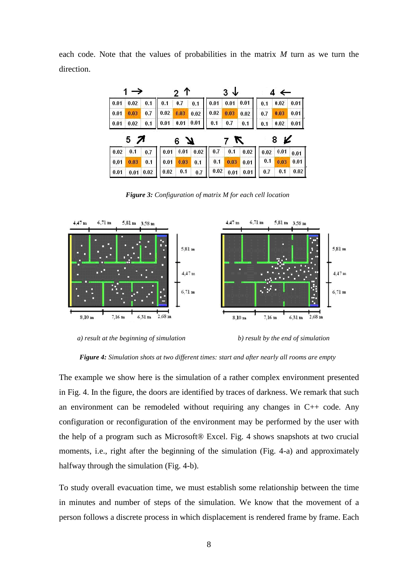each code. Note that the values of probabilities in the matrix *M* turn as we turn the direction.

|      | 1 $\rightarrow$ |     |      |      |      | $3\sqrt{ }$ |      |      |      |      |      |
|------|-----------------|-----|------|------|------|-------------|------|------|------|------|------|
| 0.01 | 0.02            | 0.1 | 0.1  | 0.7  | 0.1  | 0.01        | 0.01 | 0.01 | 0.1  | 0.02 | 0.01 |
| 0.01 | 0.03            | 0.7 | 0.02 | 0.03 | 0.02 | 0.02        | 0.03 | 0.02 | 0.7  | 0.03 | 0.01 |
|      |                 | 0.1 | 0.01 | 0.01 | 0.01 | 0.1         | 0.7  | 0.1  | 0.1  | 0.02 | 0.01 |
| 0.01 | 0.02            |     |      |      |      |             |      |      |      |      |      |
|      | 5 A             |     |      | 6 A  |      |             | 7K   |      |      | 8 K  |      |
| 0.02 | 0.1             | 0.7 | 0.01 | 0.01 | 0.02 | 0.7         | 0.1  | 0.02 | 0.02 | 0.01 | 0.01 |
| 0.01 | 0.03            | 0.1 | 0.01 | 0.03 | 0.1  | 0.1         | 0.03 | 0.01 | 0.1  | 0.03 | 0.01 |

*Figure 3: Configuration of matrix M for each cell location*



*a) result at the beginning of simulation b) result by the end of simulation*

*Figure 4: Simulation shots at two different times: start and after nearly all rooms are empty*

The example we show here is the simulation of a rather complex environment presented in Fig. 4. In the figure, the doors are identified by traces of darkness. We remark that such an environment can be remodeled without requiring any changes in C++ code. Any configuration or reconfiguration of the environment may be performed by the user with the help of a program such as Microsoft® Excel. Fig. 4 shows snapshots at two crucial moments, i.e., right after the beginning of the simulation (Fig. 4-a) and approximately halfway through the simulation (Fig. 4-b).

To study overall evacuation time, we must establish some relationship between the time in minutes and number of steps of the simulation. We know that the movement of a person follows a discrete process in which displacement is rendered frame by frame. Each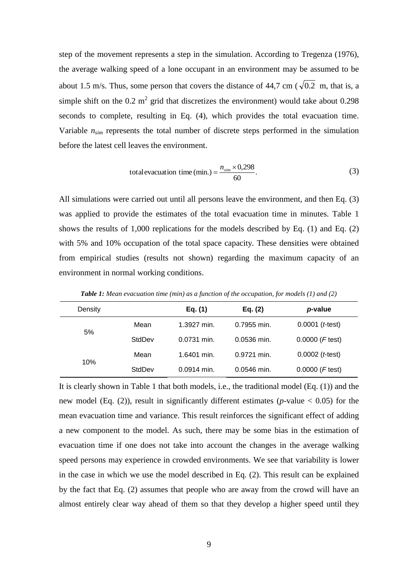step of the movement represents a step in the simulation. According to Tregenza (1976), the average walking speed of a lone occupant in an environment may be assumed to be about 1.5 m/s. Thus, some person that covers the distance of 44,7 cm ( $\sqrt{0.2}$  m, that is, a simple shift on the 0.2  $m^2$  grid that discretizes the environment) would take about 0.298 seconds to complete, resulting in Eq. (4), which provides the total evacuation time. Variable *nsim* represents the total number of discrete steps performed in the simulation before the latest cell leaves the environment.

total evacuation time (min.) = 
$$
\frac{n_{\text{sim}} \times 0.298}{60}.
$$
 (3)

All simulations were carried out until all persons leave the environment, and then Eq. (3) was applied to provide the estimates of the total evacuation time in minutes. Table 1 shows the results of 1,000 replications for the models described by Eq. (1) and Eq. (2) with 5% and 10% occupation of the total space capacity. These densities were obtained from empirical studies (results not shown) regarding the maximum capacity of an environment in normal working conditions.

| Density |        | Eq. $(1)$     | Eq. $(2)$     | p-value                    |
|---------|--------|---------------|---------------|----------------------------|
|         | Mean   | 1.3927 min.   | $0.7955$ min. | $0.0001$ ( <i>t</i> -test) |
| 5%      | StdDev | $0.0731$ min. | $0.0536$ min. | $0.0000$ ( <i>F</i> test)  |
|         | Mean   | 1.6401 min.   | $0.9721$ min. | $0.0002$ ( <i>t</i> -test) |
| 10%     | StdDev | $0.0914$ min. | $0.0546$ min. | $0.0000$ ( <i>F</i> test)  |

*Table 1: Mean evacuation time (min) as a function of the occupation, for models (1) and (2)*

It is clearly shown in Table 1 that both models, i.e., the traditional model (Eq. (1)) and the new model (Eq. (2)), result in significantly different estimates (*p*-value < 0.05) for the mean evacuation time and variance. This result reinforces the significant effect of adding a new component to the model. As such, there may be some bias in the estimation of evacuation time if one does not take into account the changes in the average walking speed persons may experience in crowded environments. We see that variability is lower in the case in which we use the model described in Eq. (2). This result can be explained by the fact that Eq. (2) assumes that people who are away from the crowd will have an almost entirely clear way ahead of them so that they develop a higher speed until they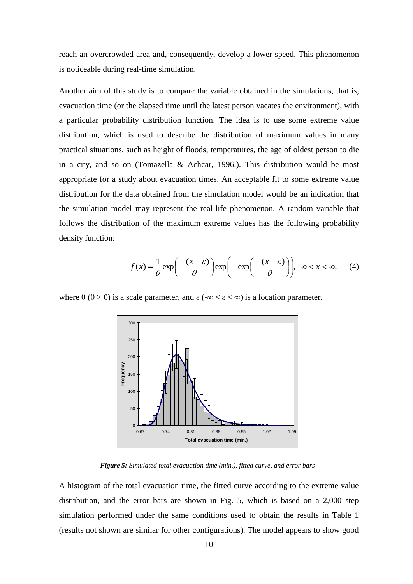reach an overcrowded area and, consequently, develop a lower speed. This phenomenon is noticeable during real-time simulation.

Another aim of this study is to compare the variable obtained in the simulations, that is, evacuation time (or the elapsed time until the latest person vacates the environment), with a particular probability distribution function. The idea is to use some extreme value distribution, which is used to describe the distribution of maximum values in many practical situations, such as height of floods, temperatures, the age of oldest person to die in a city, and so on (Tomazella & Achcar, 1996.). This distribution would be most appropriate for a study about evacuation times. An acceptable fit to some extreme value distribution for the data obtained from the simulation model would be an indication that the simulation model may represent the real-life phenomenon. A random variable that follows the distribution of the maximum extreme values has the following probability density function:

$$
f(x) = \frac{1}{\theta} \exp\left(\frac{-(x-\varepsilon)}{\theta}\right) \exp\left(-\exp\left(\frac{-(x-\varepsilon)}{\theta}\right)\right), -\infty < x < \infty,\qquad(4)
$$

where  $\theta$  ( $\theta > 0$ ) is a scale parameter, and  $\varepsilon$  (- $\infty < \varepsilon < \infty$ ) is a location parameter.



*Figure 5: Simulated total evacuation time (min.), fitted curve, and error bars*

A histogram of the total evacuation time, the fitted curve according to the extreme value distribution, and the error bars are shown in Fig. 5, which is based on a 2,000 step simulation performed under the same conditions used to obtain the results in Table 1 (results not shown are similar for other configurations). The model appears to show good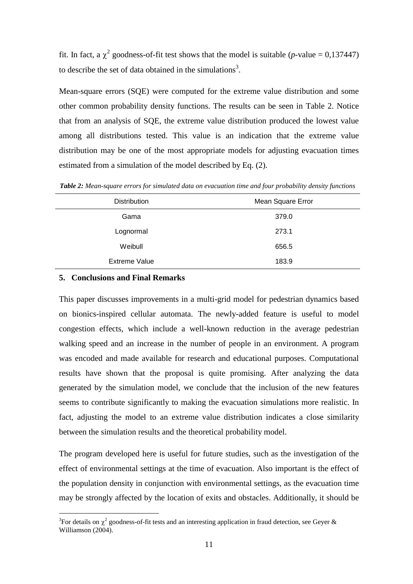fit. In fact, a  $\chi^2$  goodness-of-fit test shows that the model is suitable (*p*-value = 0,137447) to describe the set of data obtained in the simulations<sup>3</sup>.

Mean-square errors (SQE) were computed for the extreme value distribution and some other common probability density functions. The results can be seen in Table 2. Notice that from an analysis of SQE, the extreme value distribution produced the lowest value among all distributions tested. This value is an indication that the extreme value distribution may be one of the most appropriate models for adjusting evacuation times estimated from a simulation of the model described by Eq. (2).

| <b>Distribution</b>  | Mean Square Error |
|----------------------|-------------------|
| Gama                 | 379.0             |
| Lognormal            | 273.1             |
| Weibull              | 656.5             |
| <b>Extreme Value</b> | 183.9             |

*Table 2: Mean-square errors for simulated data on evacuation time and four probability density functions*

#### **5. Conclusions and Final Remarks**

1

This paper discusses improvements in a multi-grid model for pedestrian dynamics based on bionics-inspired cellular automata. The newly-added feature is useful to model congestion effects, which include a well-known reduction in the average pedestrian walking speed and an increase in the number of people in an environment. A program was encoded and made available for research and educational purposes. Computational results have shown that the proposal is quite promising. After analyzing the data generated by the simulation model, we conclude that the inclusion of the new features seems to contribute significantly to making the evacuation simulations more realistic. In fact, adjusting the model to an extreme value distribution indicates a close similarity between the simulation results and the theoretical probability model.

The program developed here is useful for future studies, such as the investigation of the effect of environmental settings at the time of evacuation. Also important is the effect of the population density in conjunction with environmental settings, as the evacuation time may be strongly affected by the location of exits and obstacles. Additionally, it should be

<sup>&</sup>lt;sup>3</sup>For details on  $\chi^2$  goodness-of-fit tests and an interesting application in fraud detection, see Geyer & Williamson (2004).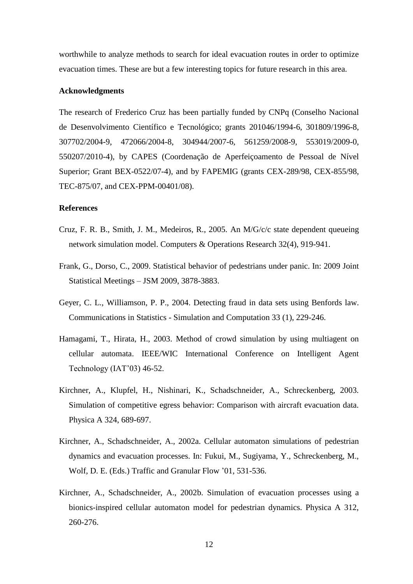worthwhile to analyze methods to search for ideal evacuation routes in order to optimize evacuation times. These are but a few interesting topics for future research in this area.

#### **Acknowledgments**

The research of Frederico Cruz has been partially funded by CNPq (Conselho Nacional de Desenvolvimento Científico e Tecnológico; grants 201046/1994-6, 301809/1996-8, 307702/2004-9, 472066/2004-8, 304944/2007-6, 561259/2008-9, 553019/2009-0, 550207/2010-4), by CAPES (Coordenação de Aperfeiçoamento de Pessoal de Nível Superior; Grant BEX-0522/07-4), and by FAPEMIG (grants CEX-289/98, CEX-855/98, TEC-875/07, and CEX-PPM-00401/08).

#### **References**

- Cruz, F. R. B., Smith, J. M., Medeiros, R., 2005. An M/G/c/c state dependent queueing network simulation model. Computers & Operations Research 32(4), 919-941.
- Frank, G., Dorso, C., 2009. Statistical behavior of pedestrians under panic. In: 2009 Joint Statistical Meetings – JSM 2009, 3878-3883.
- Geyer, C. L., Williamson, P. P., 2004. Detecting fraud in data sets using Benfords law. Communications in Statistics - Simulation and Computation 33 (1), 229-246.
- Hamagami, T., Hirata, H., 2003. Method of crowd simulation by using multiagent on cellular automata. IEEE/WIC International Conference on Intelligent Agent Technology (IAT'03) 46-52.
- Kirchner, A., Klupfel, H., Nishinari, K., Schadschneider, A., Schreckenberg, 2003. Simulation of competitive egress behavior: Comparison with aircraft evacuation data. Physica A 324, 689-697.
- Kirchner, A., Schadschneider, A., 2002a. Cellular automaton simulations of pedestrian dynamics and evacuation processes. In: Fukui, M., Sugiyama, Y., Schreckenberg, M., Wolf, D. E. (Eds.) Traffic and Granular Flow '01, 531-536.
- Kirchner, A., Schadschneider, A., 2002b. Simulation of evacuation processes using a bionics-inspired cellular automaton model for pedestrian dynamics. Physica A 312, 260-276.